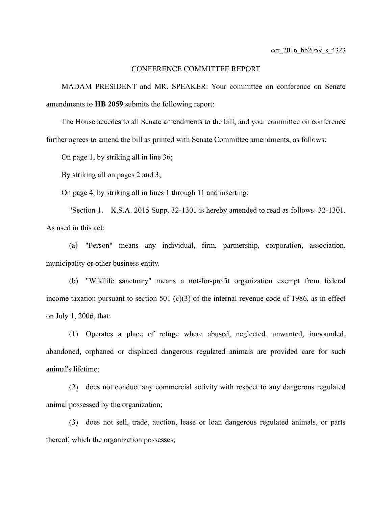## CONFERENCE COMMITTEE REPORT

MADAM PRESIDENT and MR. SPEAKER: Your committee on conference on Senate amendments to **HB 2059** submits the following report:

The House accedes to all Senate amendments to the bill, and your committee on conference further agrees to amend the bill as printed with Senate Committee amendments, as follows:

On page 1, by striking all in line 36;

By striking all on pages 2 and 3;

On page 4, by striking all in lines 1 through 11 and inserting:

"Section 1. K.S.A. 2015 Supp. 32-1301 is hereby amended to read as follows: 32-1301. As used in this act:

(a) "Person" means any individual, firm, partnership, corporation, association, municipality or other business entity.

(b) "Wildlife sanctuary" means a not-for-profit organization exempt from federal income taxation pursuant to section 501  $(c)(3)$  of the internal revenue code of 1986, as in effect on July 1, 2006, that:

(1) Operates a place of refuge where abused, neglected, unwanted, impounded, abandoned, orphaned or displaced dangerous regulated animals are provided care for such animal's lifetime;

(2) does not conduct any commercial activity with respect to any dangerous regulated animal possessed by the organization;

(3) does not sell, trade, auction, lease or loan dangerous regulated animals, or parts thereof, which the organization possesses;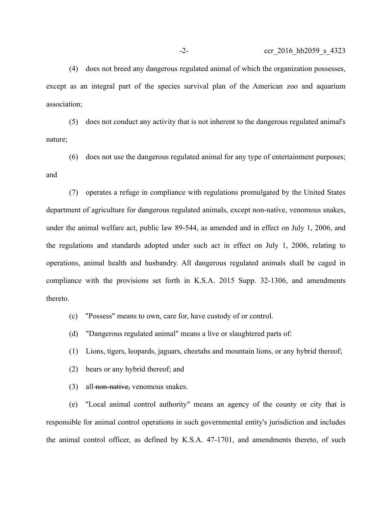(4) does not breed any dangerous regulated animal of which the organization possesses, except as an integral part of the species survival plan of the American zoo and aquarium association;

(5) does not conduct any activity that is not inherent to the dangerous regulated animal's nature;

(6) does not use the dangerous regulated animal for any type of entertainment purposes; and

(7) operates a refuge in compliance with regulations promulgated by the United States department of agriculture for dangerous regulated animals, except non-native, venomous snakes, under the animal welfare act, public law 89-544, as amended and in effect on July 1, 2006, and the regulations and standards adopted under such act in effect on July 1, 2006, relating to operations, animal health and husbandry. All dangerous regulated animals shall be caged in compliance with the provisions set forth in K.S.A. 2015 Supp. 32-1306, and amendments thereto.

- (c) "Possess" means to own, care for, have custody of or control.
- (d) "Dangerous regulated animal" means a live or slaughtered parts of:
- (1) Lions, tigers, leopards, jaguars, cheetahs and mountain lions, or any hybrid thereof;
- (2) bears or any hybrid thereof; and
- $(3)$  all-non-native, venomous snakes.

(e) "Local animal control authority" means an agency of the county or city that is responsible for animal control operations in such governmental entity's jurisdiction and includes the animal control officer, as defined by K.S.A. 47-1701, and amendments thereto, of such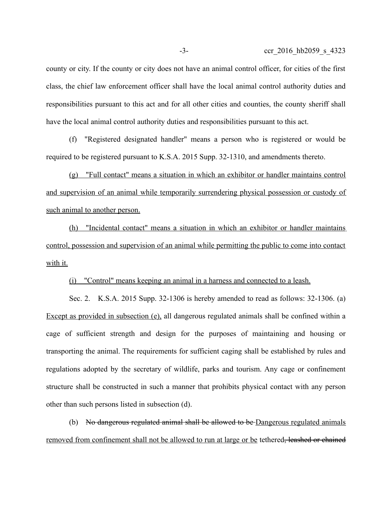county or city. If the county or city does not have an animal control officer, for cities of the first class, the chief law enforcement officer shall have the local animal control authority duties and responsibilities pursuant to this act and for all other cities and counties, the county sheriff shall have the local animal control authority duties and responsibilities pursuant to this act.

(f) "Registered designated handler" means a person who is registered or would be required to be registered pursuant to K.S.A. 2015 Supp. 32-1310, and amendments thereto.

(g) "Full contact" means a situation in which an exhibitor or handler maintains control and supervision of an animal while temporarily surrendering physical possession or custody of such animal to another person.

(h) "Incidental contact" means a situation in which an exhibitor or handler maintains control, possession and supervision of an animal while permitting the public to come into contact with it.

(i) "Control" means keeping an animal in a harness and connected to a leash.

Sec. 2. K.S.A. 2015 Supp. 32-1306 is hereby amended to read as follows: 32-1306. (a) Except as provided in subsection (e), all dangerous regulated animals shall be confined within a cage of sufficient strength and design for the purposes of maintaining and housing or transporting the animal. The requirements for sufficient caging shall be established by rules and regulations adopted by the secretary of wildlife, parks and tourism. Any cage or confinement structure shall be constructed in such a manner that prohibits physical contact with any person other than such persons listed in subsection (d).

(b) No dangerous regulated animal shall be allowed to be Dangerous regulated animals removed from confinement shall not be allowed to run at large or be tethered, leashed or chained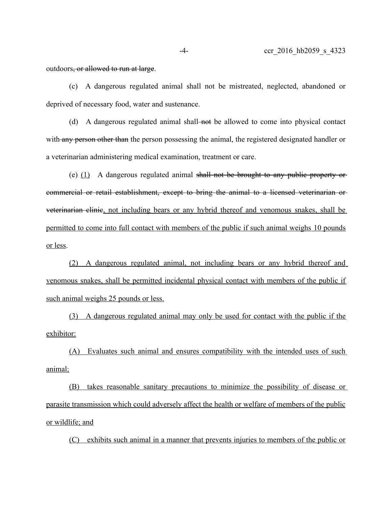outdoors<del>, or allowed to run at large</del>.

(c) A dangerous regulated animal shall not be mistreated, neglected, abandoned or deprived of necessary food, water and sustenance.

(d) A dangerous regulated animal shall-not be allowed to come into physical contact with any person other than the person possessing the animal, the registered designated handler or a veterinarian administering medical examination, treatment or care.

(e)  $(1)$  A dangerous regulated animal shall not be brought to any public property or commercial or retail establishment, except to bring the animal to a licensed veterinarian or veterinarian clinic, not including bears or any hybrid thereof and venomous snakes, shall be permitted to come into full contact with members of the public if such animal weighs 10 pounds or less.

(2) A dangerous regulated animal, not including bears or any hybrid thereof and venomous snakes, shall be permitted incidental physical contact with members of the public if such animal weighs 25 pounds or less.

(3) A dangerous regulated animal may only be used for contact with the public if the exhibitor:

(A) Evaluates such animal and ensures compatibility with the intended uses of such animal;

(B) takes reasonable sanitary precautions to minimize the possibility of disease or parasite transmission which could adversely affect the health or welfare of members of the public or wildlife; and

(C) exhibits such animal in a manner that prevents injuries to members of the public or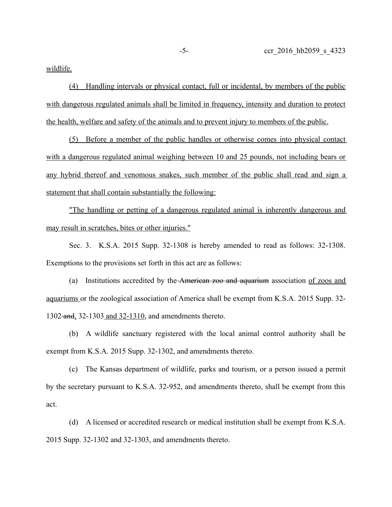wildlife.

(4) Handling intervals or physical contact, full or incidental, by members of the public with dangerous regulated animals shall be limited in frequency, intensity and duration to protect the health, welfare and safety of the animals and to prevent injury to members of the public.

(5) Before a member of the public handles or otherwise comes into physical contact with a dangerous regulated animal weighing between 10 and 25 pounds, not including bears or any hybrid thereof and venomous snakes, such member of the public shall read and sign a statement that shall contain substantially the following:

"The handling or petting of a dangerous regulated animal is inherently dangerous and may result in scratches, bites or other injuries."

Sec. 3. K.S.A. 2015 Supp. 32-1308 is hereby amended to read as follows: 32-1308. Exemptions to the provisions set forth in this act are as follows:

(a) Institutions accredited by the American zoo and aquarium association of zoos and aquariums or the zoological association of America shall be exempt from K.S.A. 2015 Supp. 32- 1302 and, 32-1303 and 32-1310, and amendments thereto.

(b) A wildlife sanctuary registered with the local animal control authority shall be exempt from K.S.A. 2015 Supp. 32-1302, and amendments thereto.

(c) The Kansas department of wildlife, parks and tourism, or a person issued a permit by the secretary pursuant to K.S.A. 32-952, and amendments thereto, shall be exempt from this act.

(d) A licensed or accredited research or medical institution shall be exempt from K.S.A. 2015 Supp. 32-1302 and 32-1303, and amendments thereto.